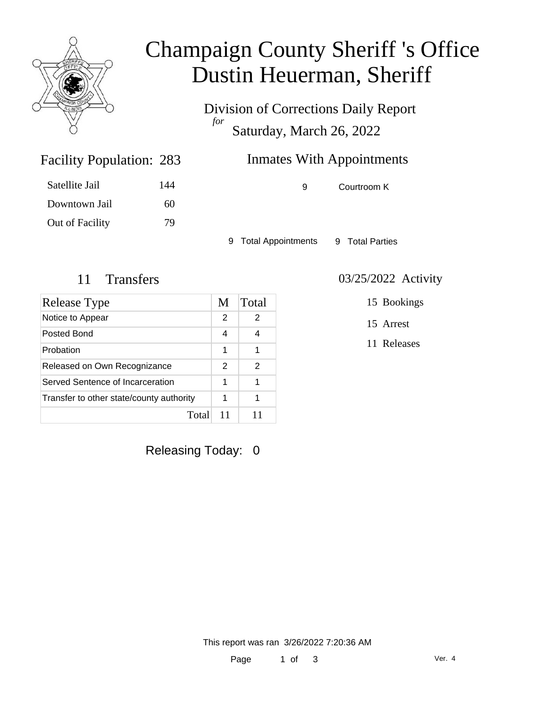

## Champaign County Sheriff 's Office Dustin Heuerman, Sheriff

Division of Corrections Daily Report *for* Saturday, March 26, 2022

### Inmates With Appointments

Facility Population: 283

| Satellite Jail  | 144 |
|-----------------|-----|
| Downtown Jail   | 60  |
| Out of Facility | 79  |

9 Courtroom K

9 Total Appointments 9 Total Parties

| <b>Release Type</b>                      | M | Total |
|------------------------------------------|---|-------|
| Notice to Appear                         | 2 | 2     |
| Posted Bond                              | 4 |       |
| Probation                                | 1 |       |
| Released on Own Recognizance             | 2 | 2     |
| Served Sentence of Incarceration         | 1 | 1     |
| Transfer to other state/county authority |   | 1     |
| Total                                    |   |       |

Releasing Today: 0

11 Transfers 03/25/2022 Activity

15 Bookings

15 Arrest

11 Releases

This report was ran 3/26/2022 7:20:36 AM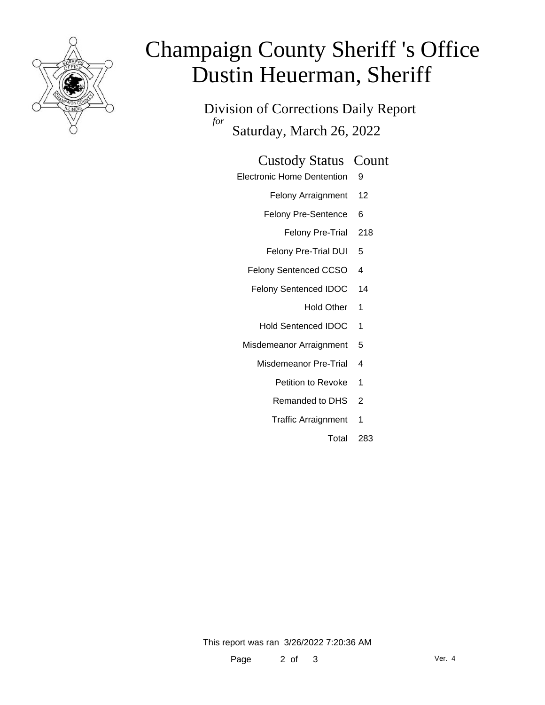

# Champaign County Sheriff 's Office Dustin Heuerman, Sheriff

Division of Corrections Daily Report *for* Saturday, March 26, 2022

#### Custody Status Count

- Electronic Home Dentention 9
	- Felony Arraignment 12
	- Felony Pre-Sentence 6
		- Felony Pre-Trial 218
	- Felony Pre-Trial DUI 5
	- Felony Sentenced CCSO 4
	- Felony Sentenced IDOC 14
		- Hold Other 1
		- Hold Sentenced IDOC 1
	- Misdemeanor Arraignment 5
		- Misdemeanor Pre-Trial 4
			- Petition to Revoke 1
			- Remanded to DHS 2
			- Traffic Arraignment 1
				- Total 283

This report was ran 3/26/2022 7:20:36 AM